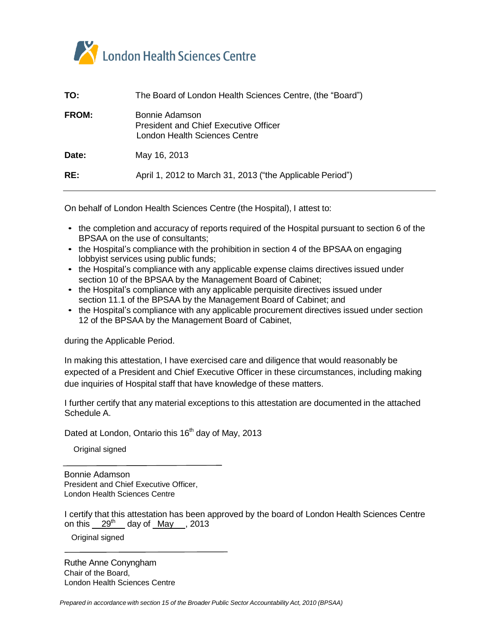

| TO:          | The Board of London Health Sciences Centre, (the "Board")                                       |
|--------------|-------------------------------------------------------------------------------------------------|
| <b>FROM:</b> | Bonnie Adamson<br><b>President and Chief Executive Officer</b><br>London Health Sciences Centre |
| Date:        | May 16, 2013                                                                                    |
| RE:          | April 1, 2012 to March 31, 2013 ("the Applicable Period")                                       |
|              |                                                                                                 |

On behalf of London Health Sciences Centre (the Hospital), I attest to:

- the completion and accuracy of reports required of the Hospital pursuant to section 6 of the BPSAA on the use of consultants;
- the Hospital's compliance with the prohibition in section 4 of the BPSAA on engaging lobbyist services using public funds;
- the Hospital's compliance with any applicable expense claims directives issued under section 10 of the BPSAA by the Management Board of Cabinet;
- the Hospital's compliance with any applicable perquisite directives issued under section 11.1 of the BPSAA by the Management Board of Cabinet; and
- the Hospital's compliance with any applicable procurement directives issued under section 12 of the BPSAA by the Management Board of Cabinet,

during the Applicable Period.

In making this attestation, I have exercised care and diligence that would reasonably be expected of a President and Chief Executive Officer in these circumstances, including making due inquiries of Hospital staff that have knowledge of these matters.

I further certify that any material exceptions to this attestation are documented in the attached Schedule A.

Dated at London, Ontario this 16<sup>th</sup> day of May, 2013

Original signed

Bonnie Adamson President and Chief Executive Officer, London Health Sciences Centre

I certify that this attestation has been approved by the board of London Health Sciences Centre on this \_\_29<sup>th</sup> \_\_ day of \_<u>May \_\_</u>, 2013

Original signed

Ruthe Anne Conyngham Chair of the Board, London Health Sciences Centre